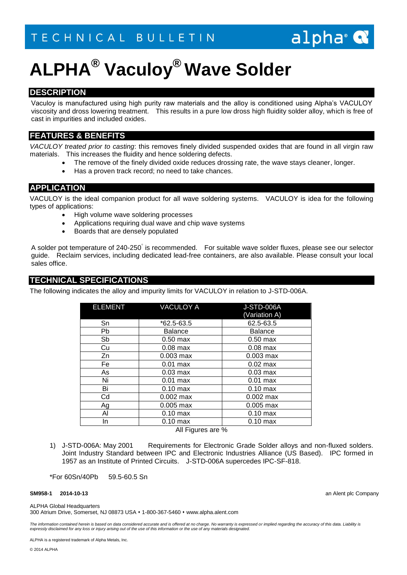## alpha<sup>®</sup>

# **ALPHA® Vaculoy® Wave Solder**

## **DESCRIPTION**

Vaculoy is manufactured using high purity raw materials and the alloy is conditioned using Alpha's VACULOY viscosity and dross lowering treatment. This results in a pure low dross high fluidity solder alloy, which is free of cast in impurities and included oxides.

## **FEATURES & BENEFITS**

*VACULOY treated prior to casting*: this removes finely divided suspended oxides that are found in all virgin raw materials. This increases the fluidity and hence soldering defects.

- The remove of the finely divided oxide reduces drossing rate, the wave stays cleaner, longer.
- Has a proven track record; no need to take chances.

### **APPLICATION**

VACULOY is the ideal companion product for all wave soldering systems. VACULOY is idea for the following types of applications:

- High volume wave soldering processes
- Applications requiring dual wave and chip wave systems
- Boards that are densely populated

A solder pot temperature of 240-250° is recommended. For suitable wave solder fluxes, please see our selector guide. Reclaim services, including dedicated lead-free containers, are also available. Please consult your local sales office.

## **TECHNICAL SPECIFICATIONS**

The following indicates the alloy and impurity limits for VACULOY in relation to J-STD-006A.

| <b>ELEMENT</b>                        | <b>VACULOY A</b>   | <b>J-STD-006A</b><br>(Variation A) |
|---------------------------------------|--------------------|------------------------------------|
| Sn                                    | $*62.5 - 63.5$     | 62.5-63.5                          |
| Pb                                    | <b>Balance</b>     | <b>Balance</b>                     |
| Sb                                    | $0.50$ max         | $0.50$ max                         |
| Cu                                    | $0.08$ max         | $0.08$ max                         |
| Zn                                    | $0.003$ max        | $0.003$ max                        |
| Fe                                    | $0.01$ max         | $0.02$ max                         |
| As                                    | $0.03 \text{ max}$ | $0.03$ max                         |
| Ni                                    | $0.01$ max         | $0.01$ max                         |
| Bi                                    | $0.10$ max         | $0.10$ max                         |
| Cd                                    | $0.002$ max        | $0.002$ max                        |
| Ag                                    | $0.005$ max        | $0.005$ max                        |
| Al                                    | $0.10$ max         | $0.10$ max                         |
| In                                    | $0.10$ max         | $0.10$ max                         |
| $\Lambda$ II $\Gamma$ iaurea ere $0/$ |                    |                                    |

All Figures are %

1) J-STD-006A: May 2001 Requirements for Electronic Grade Solder alloys and non-fluxed solders. Joint Industry Standard between IPC and Electronic Industries Alliance (US Based). IPC formed in 1957 as an Institute of Printed Circuits. J-STD-006A supercedes IPC-SF-818.

\*For 60Sn/40Pb 59.5-60.5 Sn

#### **SM958-1 2014-10-13** an Alent plc Company

ALPHA Global Headquarters

300 Atrium Drive, Somerset, NJ 08873 USA 1-800-367-5460 www.alpha.alent.com

The information contained herein is based on data considered accurate and is offered at no charge. No warranty is expressed or implied regarding the accuracy of this data. Liability is *expressly disclaimed for any loss or injury arising out of the use of this information or the use of any materials designated.*

ALPHA is a registered trademark of Alpha Metals, Inc.